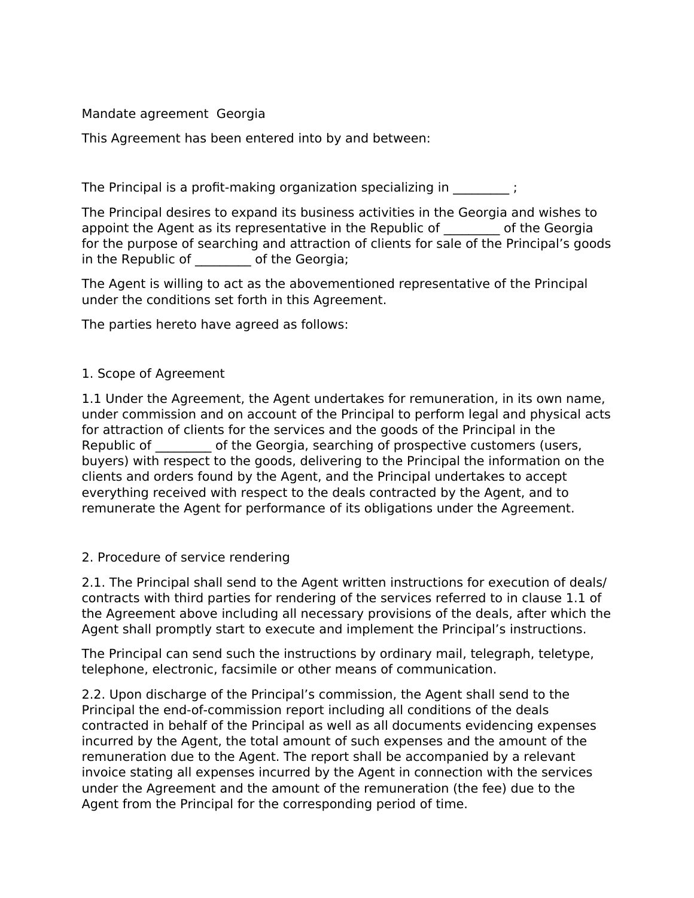## Mandate agreement Georgia

This Agreement has been entered into by and between:

The Principal is a profit-making organization specializing in  $\hspace{1.5cm}$  ;

The Principal desires to expand its business activities in the Georgia and wishes to appoint the Agent as its representative in the Republic of The Georgia for the purpose of searching and attraction of clients for sale of the Principal's goods in the Republic of The Georgia;

The Agent is willing to act as the abovementioned representative of the Principal under the conditions set forth in this Agreement.

The parties hereto have agreed as follows:

## 1. Scope of Agreement

1.1 Under the Agreement, the Agent undertakes for remuneration, in its own name, under commission and on account of the Principal to perform legal and physical acts for attraction of clients for the services and the goods of the Principal in the Republic of The Georgia, searching of prospective customers (users, buyers) with respect to the goods, delivering to the Principal the information on the clients and orders found by the Agent, and the Principal undertakes to accept everything received with respect to the deals contracted by the Agent, and to remunerate the Agent for performance of its obligations under the Agreement.

## 2. Procedure of service rendering

2.1. The Principal shall send to the Agent written instructions for execution of deals/ contracts with third parties for rendering of the services referred to in clause 1.1 of the Agreement above including all necessary provisions of the deals, after which the Agent shall promptly start to execute and implement the Principal's instructions.

The Principal can send such the instructions by ordinary mail, telegraph, teletype, telephone, electronic, facsimile or other means of communication.

2.2. Upon discharge of the Principal's commission, the Agent shall send to the Principal the end-of-commission report including all conditions of the deals contracted in behalf of the Principal as well as all documents evidencing expenses incurred by the Agent, the total amount of such expenses and the amount of the remuneration due to the Agent. The report shall be accompanied by a relevant invoice stating all expenses incurred by the Agent in connection with the services under the Agreement and the amount of the remuneration (the fee) due to the Agent from the Principal for the corresponding period of time.